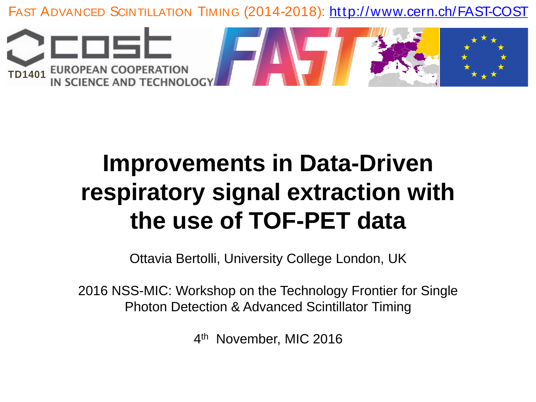

# **Improvements in Data-Driven respiratory signal extraction with the use of TOF-PET data**

Ottavia Bertolli, University College London, UK

2016 NSS-MIC: Workshop on the Technology Frontier for Single Photon Detection & Advanced Scintillator Timing

4<sup>th</sup> November, MIC 2016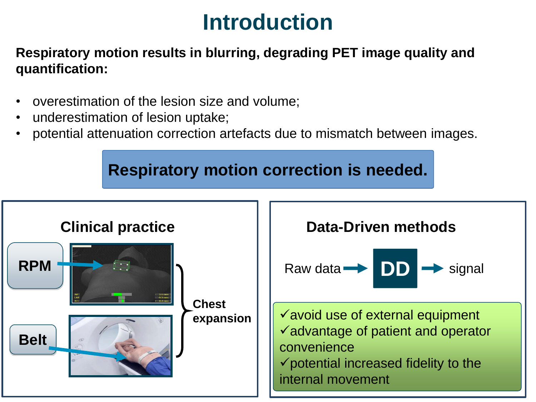## **Introduction**

#### **Respiratory motion results in blurring, degrading PET image quality and quantification:**

- overestimation of the lesion size and volume;
- underestimation of lesion uptake;
- potential attenuation correction artefacts due to mismatch between images.

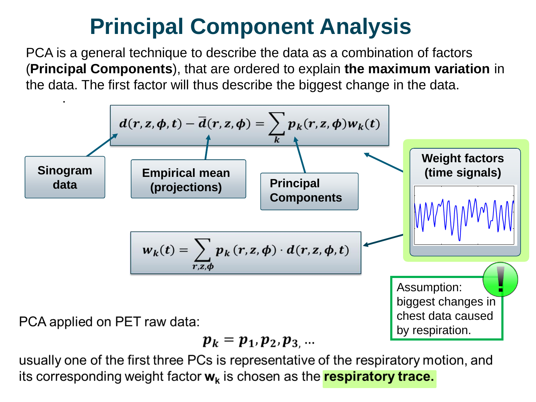#### Data-Driven method: PCA **Principal Component Analysis**

PCA is a general technique to describe the data as a combination of factors (**Principal Components**), that are ordered to explain **the maximum variation** in the data. The first factor will thus describe the biggest change in the data.



$$
\boldsymbol{p}_k = \boldsymbol{p}_1, \boldsymbol{p}_2, \boldsymbol{p}_3, \ldots
$$

usually one of the first three PCs is representative of the respiratory motion, and its corresponding weight factor  $w_k$  is chosen as the **respiratory trace.**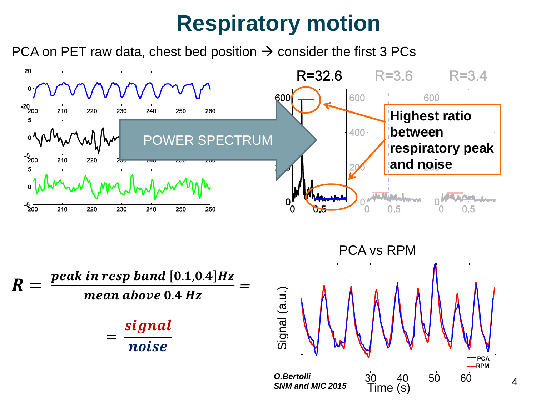## **Respiratory motion**

PCA on PET raw data, chest bed position  $\rightarrow$  consider the first 3 PCs





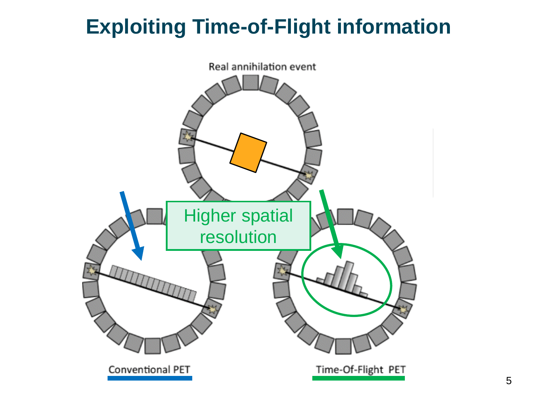#### **Exploiting Time-of-Flight information** Time-of-Flight PET

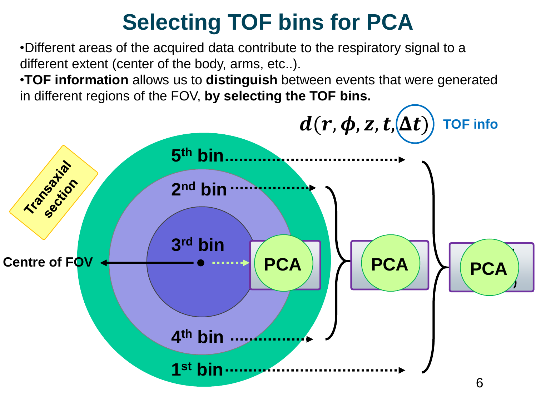# **Selecting TOF bins for PCA**

•Different areas of the acquired data contribute to the respiratory signal to a different extent (center of the body, arms, etc..).

•**TOF information** allows us to **distinguish** between events that were generated in different regions of the FOV, **by selecting the TOF bins.**

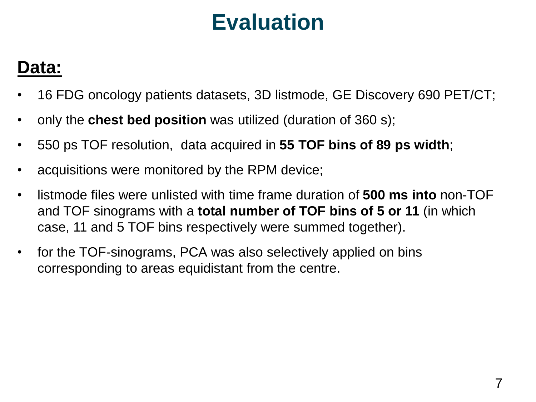## **Evaluation**

### **Data:**

- 16 FDG oncology patients datasets, 3D listmode, GE Discovery 690 PET/CT;
- only the **chest bed position** was utilized (duration of 360 s);
- 550 ps TOF resolution, data acquired in **55 TOF bins of 89 ps width**;
- acquisitions were monitored by the RPM device;
- listmode files were unlisted with time frame duration of **500 ms into** non-TOF and TOF sinograms with a **total number of TOF bins of 5 or 11** (in which case, 11 and 5 TOF bins respectively were summed together).
- for the TOF-sinograms, PCA was also selectively applied on bins corresponding to areas equidistant from the centre.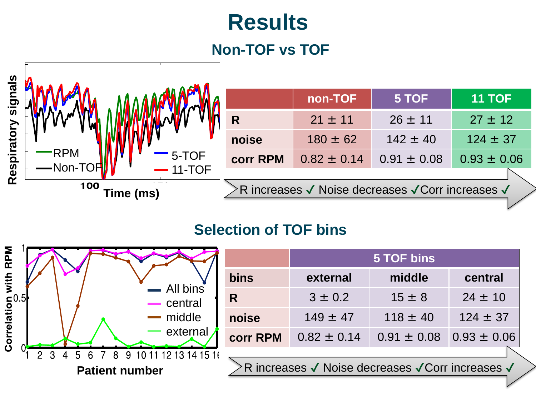## **Results**

#### **Non-TOF vs TOF**



|                                                   | non-TOF         | 5 TOF           | <b>11 TOF</b>   |
|---------------------------------------------------|-----------------|-----------------|-----------------|
| R                                                 | $21 \pm 11$     | $26 \pm 11$     | $27 \pm 12$     |
| noise                                             | $180 \pm 62$    | $142 \pm 40$    | $124 \pm 37$    |
| <b>corr RPM</b>                                   | $0.82 \pm 0.14$ | $0.91 \pm 0.08$ | $0.93 \pm 0.06$ |
|                                                   |                 |                 |                 |
| >R increases √ Noise decreases √ Corr increases √ |                 |                 |                 |

#### **Selection of TOF bins**

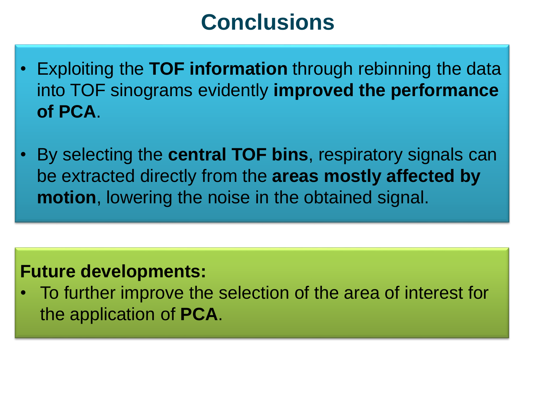## **Conclusions**

- Exploiting the **TOF information** through rebinning the data into TOF sinograms evidently **improved the performance of PCA**.
- By selecting the **central TOF bins**, respiratory signals can be extracted directly from the **areas mostly affected by motion**, lowering the noise in the obtained signal.

#### **Future developments:**

• To further improve the selection of the area of interest for the application of **PCA**.